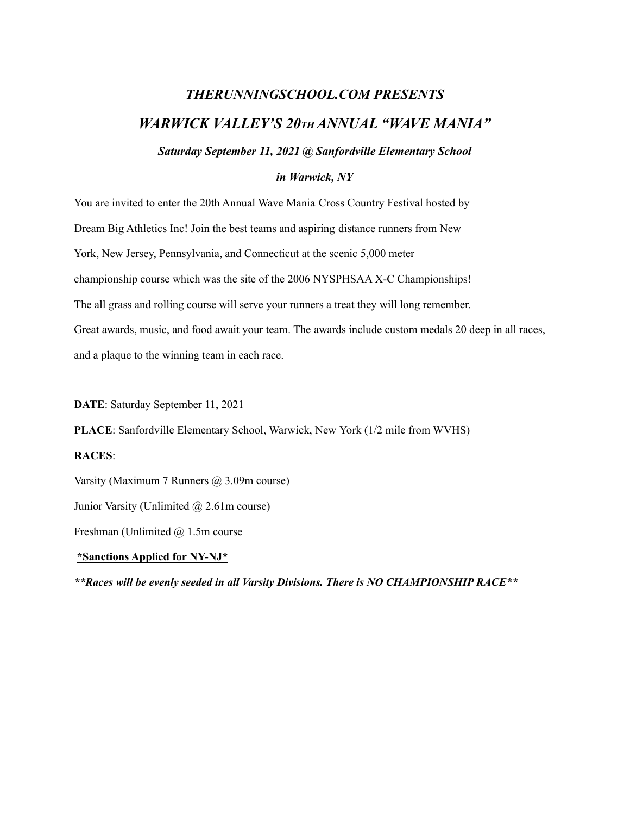# *THERUNNINGSCHOOL.COM PRESENTS WARWICK VALLEY'S 20TH ANNUAL "WAVE MANIA"*

*Saturday September 11, 2021 @ Sanfordville Elementary School*

#### *in Warwick, NY*

You are invited to enter the 20th Annual Wave Mania Cross Country Festival hosted by Dream Big Athletics Inc! Join the best teams and aspiring distance runners from New York, New Jersey, Pennsylvania, and Connecticut at the scenic 5,000 meter championship course which was the site of the 2006 NYSPHSAA X-C Championships! The all grass and rolling course will serve your runners a treat they will long remember. Great awards, music, and food await your team. The awards include custom medals 20 deep in all races, and a plaque to the winning team in each race.

**DATE**: Saturday September 11, 2021

**PLACE**: Sanfordville Elementary School, Warwick, New York (1/2 mile from WVHS)

#### **RACES**:

Varsity (Maximum 7 Runners @ 3.09m course)

Junior Varsity (Unlimited  $\omega$  2.61m course)

Freshman (Unlimited @ 1.5m course

**\*Sanctions Applied for NY-NJ\***

*\*\*Races will be evenly seeded in all Varsity Divisions. There is NO CHAMPIONSHIP RACE\*\**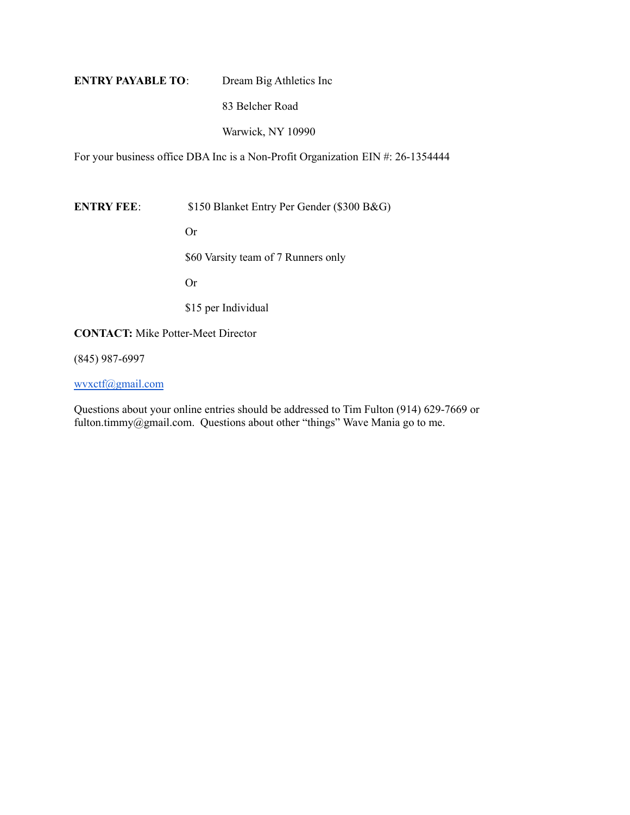| ENTRY PAYABLE TO: | Dream Big Athletics Inc |  |
|-------------------|-------------------------|--|
|                   | 83 Belcher Road         |  |
|                   | Warwick, NY 10990       |  |

For your business office DBA Inc is a Non-Profit Organization EIN #: 26-1354444

**ENTRY FEE**: \$150 Blanket Entry Per Gender (\$300 B&G)

Or

\$60 Varsity team of 7 Runners only

Or

\$15 per Individual

**CONTACT:** Mike Potter-Meet Director

(845) 987-6997

[wvxctf@gmail.com](mailto:wvxctf@gmail.com)

Questions about your online entries should be addressed to Tim Fulton (914) 629-7669 or fulton.timmy@gmail.com. Questions about other "things" Wave Mania go to me.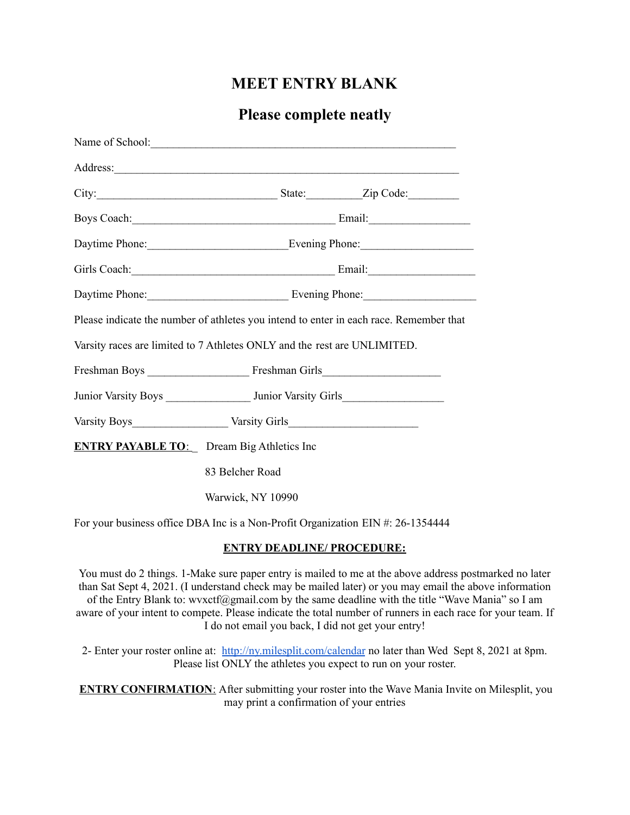# **MEET ENTRY BLANK**

## **Please complete neatly**

| Name of School:                                                                  |                                                                                        |  |
|----------------------------------------------------------------------------------|----------------------------------------------------------------------------------------|--|
| Address: <u>Address:</u>                                                         |                                                                                        |  |
| City: City: City: City: City: City: City: Code:                                  |                                                                                        |  |
| Boys Coach: Email: Email:                                                        |                                                                                        |  |
|                                                                                  |                                                                                        |  |
|                                                                                  | Girls Coach: Email: Email:                                                             |  |
|                                                                                  |                                                                                        |  |
|                                                                                  | Please indicate the number of athletes you intend to enter in each race. Remember that |  |
| Varsity races are limited to 7 Athletes ONLY and the rest are UNLIMITED.         |                                                                                        |  |
|                                                                                  |                                                                                        |  |
| Junior Varsity Boys _________________ Junior Varsity Girls______________________ |                                                                                        |  |
|                                                                                  |                                                                                        |  |
| <b>ENTRY PAYABLE TO:</b> Dream Big Athletics Inc                                 |                                                                                        |  |
| 83 Belcher Road                                                                  |                                                                                        |  |
| Warwick, NY 10990                                                                |                                                                                        |  |

For your business office DBA Inc is a Non-Profit Organization EIN #: 26-1354444

### **ENTRY DEADLINE/ PROCEDURE:**

You must do 2 things. 1-Make sure paper entry is mailed to me at the above address postmarked no later than Sat Sept 4, 2021. (I understand check may be mailed later) or you may email the above information of the Entry Blank to: wvxctf@gmail.com by the same deadline with the title "Wave Mania" so I am aware of your intent to compete. Please indicate the total number of runners in each race for your team. If I do not email you back, I did not get your entry!

2- Enter your roster online at: <http://ny.milesplit.com/calendar> no later than Wed Sept 8, 2021 at 8pm. Please list ONLY the athletes you expect to run on your roster.

**ENTRY CONFIRMATION:** After submitting your roster into the Wave Mania Invite on Milesplit, you may print a confirmation of your entries